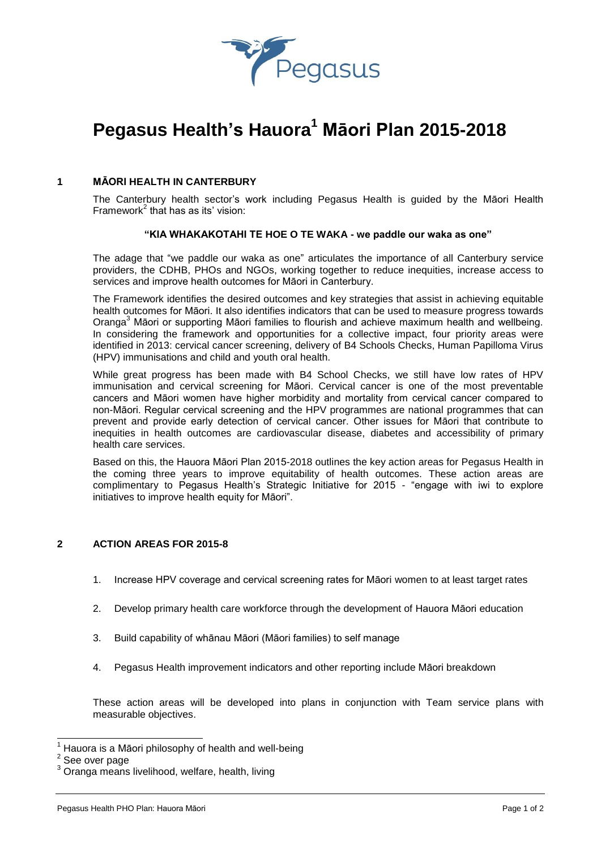

# **Pegasus Health's Hauora<sup>1</sup> Māori Plan 2015-2018**

# **1 MĀORI HEALTH IN CANTERBURY**

The Canterbury health sector's work including Pegasus Health is guided by the Māori Health Framework<sup>2</sup> that has as its' vision:

### **"KIA WHAKAKOTAHI TE HOE O TE WAKA - we paddle our waka as one"**

The adage that "we paddle our waka as one" articulates the importance of all Canterbury service providers, the CDHB, PHOs and NGOs, working together to reduce inequities, increase access to services and improve health outcomes for Māori in Canterbury.

The Framework identifies the desired outcomes and key strategies that assist in achieving equitable health outcomes for Māori. It also identifies indicators that can be used to measure progress towards Oranga<sup>3</sup> Māori or supporting Māori families to flourish and achieve maximum health and wellbeing. In considering the framework and opportunities for a collective impact, four priority areas were identified in 2013: cervical cancer screening, delivery of B4 Schools Checks, Human Papilloma Virus (HPV) immunisations and child and youth oral health.

While great progress has been made with B4 School Checks, we still have low rates of HPV immunisation and cervical screening for Māori. Cervical cancer is one of the most preventable cancers and Māori women have higher morbidity and mortality from cervical cancer compared to non-Māori. Regular cervical screening and the HPV programmes are national programmes that can prevent and provide early detection of cervical cancer. Other issues for Māori that contribute to inequities in health outcomes are cardiovascular disease, diabetes and accessibility of primary health care services.

Based on this, the Hauora Māori Plan 2015-2018 outlines the key action areas for Pegasus Health in the coming three years to improve equitability of health outcomes. These action areas are complimentary to Pegasus Health's Strategic Initiative for 2015 - "engage with iwi to explore initiatives to improve health equity for Māori".

### **2 ACTION AREAS FOR 2015-8**

- 1. Increase HPV coverage and cervical screening rates for Māori women to at least target rates
- 2. Develop primary health care workforce through the development of Hauora Māori education
- 3. Build capability of whānau Māori (Māori families) to self manage
- 4. Pegasus Health improvement indicators and other reporting include Māori breakdown

These action areas will be developed into plans in conjunction with Team service plans with measurable objectives.

 $\overline{\phantom{a}}$ 

<sup>1</sup> Hauora is a Māori philosophy of health and well-being

<sup>&</sup>lt;sup>2</sup> See over page

Oranga means livelihood, welfare, health, living